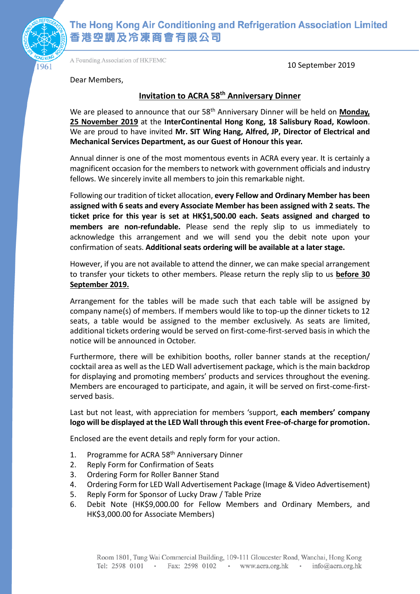

A Founding Association of HKFEMC

10 September 2019

Dear Members,

### **Invitation to ACRA 58 th Anniversary Dinner**

We are pleased to announce that our 58<sup>th</sup> Anniversary Dinner will be held on **Monday**, **25 November 2019** at the **InterContinental Hong Kong, 18 Salisbury Road, Kowloon**. We are proud to have invited **Mr. SIT Wing Hang, Alfred, JP, Director of Electrical and Mechanical Services Department, as our Guest of Honour this year.**

Annual dinner is one of the most momentous events in ACRA every year. It is certainly a magnificent occasion for the members to network with government officials and industry fellows. We sincerely invite all members to join this remarkable night.

Following our tradition of ticket allocation, **every Fellow and Ordinary Member has been assigned with 6 seats and every Associate Member has been assigned with 2 seats. The ticket price for this year is set at HK\$1,500.00 each. Seats assigned and charged to members are non-refundable.** Please send the reply slip to us immediately to acknowledge this arrangement and we will send you the debit note upon your confirmation of seats. **Additional seats ordering will be available at a later stage.**

However, if you are not available to attend the dinner, we can make special arrangement to transfer your tickets to other members. Please return the reply slip to us **before 30 September 2019.**

Arrangement for the tables will be made such that each table will be assigned by company name(s) of members. If members would like to top-up the dinner tickets to 12 seats, a table would be assigned to the member exclusively. As seats are limited, additional tickets ordering would be served on first-come-first-served basis in which the notice will be announced in October.

Furthermore, there will be exhibition booths, roller banner stands at the reception/ cocktail area as well as the LED Wall advertisement package, which is the main backdrop for displaying and promoting members' products and services throughout the evening. Members are encouraged to participate, and again, it will be served on first-come-firstserved basis.

Last but not least, with appreciation for members 'support, **each members' company logo will be displayed at the LED Wall through this event Free-of-charge for promotion.**

Enclosed are the event details and reply form for your action.

- 1. Programme for ACRA 58<sup>th</sup> Anniversary Dinner
- 2. Reply Form for Confirmation of Seats
- 3. Ordering Form for Roller Banner Stand
- 4. Ordering Form for LED Wall Advertisement Package (Image & Video Advertisement)
- 5. Reply Form for Sponsor of Lucky Draw / Table Prize
- 6. Debit Note (HK\$9,000.00 for Fellow Members and Ordinary Members, and HK\$3,000.00 for Associate Members)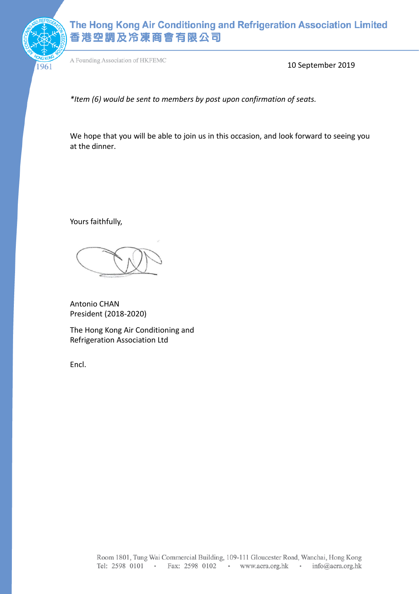

A Founding Association of HKFEMC

10 September 2019

*\*Item (6) would be sent to members by post upon confirmation of seats.*

We hope that you will be able to join us in this occasion, and look forward to seeing you at the dinner.

Yours faithfully,

Antonio CHAN President (2018-2020)

The Hong Kong Air Conditioning and Refrigeration Association Ltd

Encl.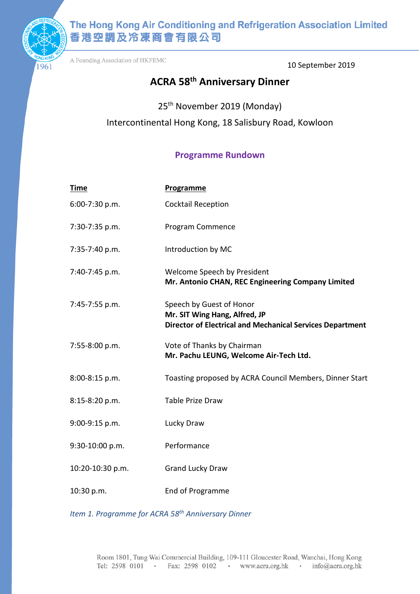

A Founding Association of HKFEMC

10 September 2019

# **ACRA 58 th Anniversary Dinner**

25th November 2019 (Monday) Intercontinental Hong Kong, 18 Salisbury Road, Kowloon

### **Programme Rundown**

| <b>Time</b>      | Programme                                                                                                                     |
|------------------|-------------------------------------------------------------------------------------------------------------------------------|
| 6:00-7:30 p.m.   | <b>Cocktail Reception</b>                                                                                                     |
| 7:30-7:35 p.m.   | Program Commence                                                                                                              |
| 7:35-7:40 p.m.   | Introduction by MC                                                                                                            |
| 7:40-7:45 p.m.   | Welcome Speech by President<br>Mr. Antonio CHAN, REC Engineering Company Limited                                              |
| 7:45-7:55 p.m.   | Speech by Guest of Honor<br>Mr. SIT Wing Hang, Alfred, JP<br><b>Director of Electrical and Mechanical Services Department</b> |
| 7:55-8:00 p.m.   | Vote of Thanks by Chairman<br>Mr. Pachu LEUNG, Welcome Air-Tech Ltd.                                                          |
| 8:00-8:15 p.m.   | Toasting proposed by ACRA Council Members, Dinner Start                                                                       |
| 8:15-8:20 p.m.   | <b>Table Prize Draw</b>                                                                                                       |
| 9:00-9:15 p.m.   | Lucky Draw                                                                                                                    |
| 9:30-10:00 p.m.  | Performance                                                                                                                   |
| 10:20-10:30 p.m. | <b>Grand Lucky Draw</b>                                                                                                       |
| 10:30 p.m.       | End of Programme                                                                                                              |

*Item 1. Programme for ACRA 58 th Anniversary Dinner*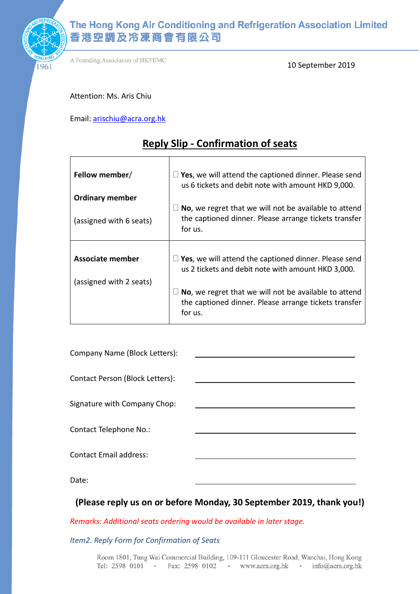

A Founding Association of HKFEMC

10 September 2019

Attention: Ms. Aris Chiu

Email: [arischiu@acra.org.hk](mailto:arischiu@acra.org.hk)

## **Reply Slip - Confirmation of seats**

| Fellow member/          | $\Box$ Yes, we will attend the captioned dinner. Please send<br>us 6 tickets and debit note with amount HKD 9,000.               |
|-------------------------|----------------------------------------------------------------------------------------------------------------------------------|
| <b>Ordinary member</b>  |                                                                                                                                  |
| (assigned with 6 seats) | $\Box$ No, we regret that we will not be available to attend<br>the captioned dinner. Please arrange tickets transfer<br>for us. |
|                         |                                                                                                                                  |
|                         |                                                                                                                                  |
| <b>Associate member</b> | $\Box$ Yes, we will attend the captioned dinner. Please send<br>us 2 tickets and debit note with amount HKD 3,000.               |
| (assigned with 2 seats) |                                                                                                                                  |

| Company Name (Block Letters):   |  |
|---------------------------------|--|
| Contact Person (Block Letters): |  |
| Signature with Company Chop:    |  |
| Contact Telephone No.:          |  |
| <b>Contact Email address:</b>   |  |
| Date:                           |  |

## **(Please reply us on or before Monday, 30 September 2019, thank you!)**

*Remarks: Additional seats ordering would be available in later stage.*

*Item2. Reply Form for Confirmation of Seats*

Room 1801, Tung Wai Commercial Building, 109-111 Gloucester Road, Wanchai, Hong Kong Tel: 2598 0101 · Fax: 2598 0102 · www.acra.org.hk · info@acra.org.hk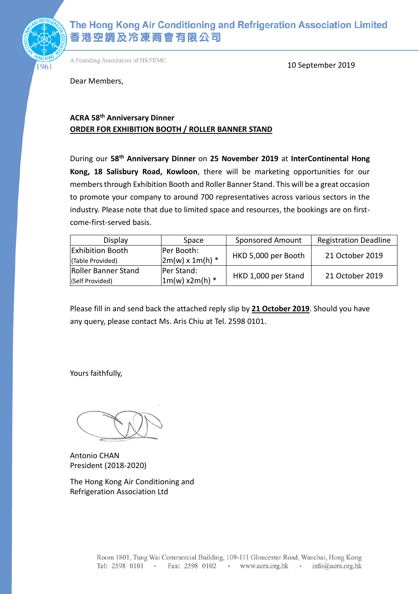

A Founding Association of HKFEMC

10 September 2019

Dear Members,

### **ACRA 58th Anniversary Dinner ORDER FOR EXHIBITION BOOTH / ROLLER BANNER STAND**

During our **58th Anniversary Dinner** on **25 November 2019** at **InterContinental Hong Kong, 18 Salisbury Road, Kowloon**, there will be marketing opportunities for our members through Exhibition Booth and Roller Banner Stand. This will be a great occasion to promote your company to around 700 representatives across various sectors in the industry. Please note that due to limited space and resources, the bookings are on firstcome-first-served basis.

| <b>Display</b>          | Space                  | <b>Sponsored Amount</b> | <b>Registration Deadline</b> |
|-------------------------|------------------------|-------------------------|------------------------------|
| <b>Exhibition Booth</b> | Per Booth:             | HKD 5,000 per Booth     | 21 October 2019              |
| (Table Provided)        | $2m(w) \times 1m(h)$ * |                         |                              |
| Roller Banner Stand     | <b>IPer Stand:</b>     |                         | 21 October 2019              |
| (Self Provided)         | $1m(w)$ x2m(h) *       | HKD 1,000 per Stand     |                              |

Please fill in and send back the attached reply slip by **21 October 2019**. Should you have any query, please contact Ms. Aris Chiu at Tel. 2598 0101.

Yours faithfully,

Antonio CHAN President (2018-2020)

The Hong Kong Air Conditioning and Refrigeration Association Ltd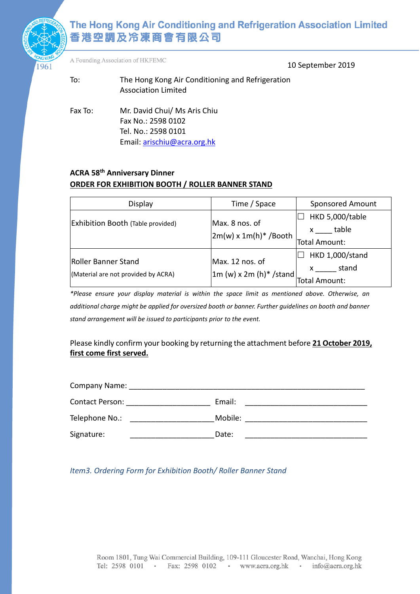

A Founding Association of HKFEMC

10 September 2019

- To: The Hong Kong Air Conditioning and Refrigeration Association Limited
- Fax To: Mr. David Chui/ Ms Aris Chiu Fax No.: 2598 0102 Tel. No.: 2598 0101 Email[: arischiu@acra.org.hk](mailto:arischiu@acra.org.hk)

### **ACRA 58 th Anniversary Dinner ORDER FOR EXHIBITION BOOTH / ROLLER BANNER STAND**

| Display                                  | Time / Space                             | <b>Sponsored Amount</b>                                                                                                                                                                                                                                                                                                    |
|------------------------------------------|------------------------------------------|----------------------------------------------------------------------------------------------------------------------------------------------------------------------------------------------------------------------------------------------------------------------------------------------------------------------------|
| <b>Exhibition Booth (Table provided)</b> | Max. 8 nos. of                           | HKD 5,000/table                                                                                                                                                                                                                                                                                                            |
|                                          | $2m(w) \times 1m(h)^*$ /Booth            | table<br>$\mathsf{X}$ and $\mathsf{X}$ and $\mathsf{X}$ are $\mathsf{X}$ and $\mathsf{X}$ are $\mathsf{X}$ and $\mathsf{X}$ are $\mathsf{X}$ and $\mathsf{X}$ are $\mathsf{X}$ and $\mathsf{X}$ are $\mathsf{X}$ and $\mathsf{X}$ are $\mathsf{X}$ and $\mathsf{X}$ are $\mathsf{X}$ and $\mathsf{X}$ are<br>Total Amount: |
| Roller Banner Stand                      | Max. 12 nos. of                          | <b>HKD 1,000/stand</b>                                                                                                                                                                                                                                                                                                     |
| (Material are not provided by ACRA)      | $\left  1m \right.$ (w) x 2m (h)* /stand | stand<br>Total Amount:                                                                                                                                                                                                                                                                                                     |

*\*Please ensure your display material is within the space limit as mentioned above. Otherwise, an additional charge might be applied for oversized booth or banner. Further guidelines on booth and banner stand arrangement will be issued to participants prior to the event.* 

Please kindly confirm your booking by returning the attachment before **21 October 2019, first come first served.**

| Company Name:   |         |
|-----------------|---------|
| Contact Person: | Email:  |
| Telephone No.:  | Mobile: |
| Signature:      | Date:   |

### *Item3. Ordering Form for Exhibition Booth/ Roller Banner Stand*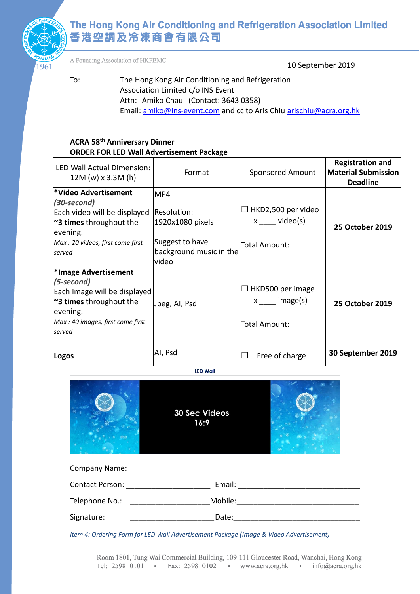

A Founding Association of HKFEMC

10 September 2019

To: The Hong Kong Air Conditioning and Refrigeration Association Limited c/o INS Event Attn: Amiko Chau (Contact: 3643 0358) Email[: amiko@ins-event.com](mailto:amiko@ins-event.com) and cc to Aris Chiu arischiu@acra.org.hk

#### **ACRA 58th Anniversary Dinner ORDER FOR LED Wall Advertisement Package**

| <b>LED Wall Actual Dimension:</b><br>$12M (w) \times 3.3M (h)$                                                                                            | Format                                                                                        | <b>Sponsored Amount</b>                                    | <b>Registration and</b><br><b>Material Submission</b><br><b>Deadline</b> |
|-----------------------------------------------------------------------------------------------------------------------------------------------------------|-----------------------------------------------------------------------------------------------|------------------------------------------------------------|--------------------------------------------------------------------------|
| *Video Advertisement<br>(30-second)<br>Each video will be displayed<br>~3 times throughout the<br>evening.<br>Max : 20 videos, first come first<br>served | MP4<br>Resolution:<br>1920x1080 pixels<br>Suggest to have<br>background music in the<br>video | HKD2,500 per video<br>$x \_\_\_$ video(s)<br>Total Amount: | <b>25 October 2019</b>                                                   |
| *Image Advertisement<br>(5-second)<br>Each Image will be displayed<br>~3 times throughout the<br>evening.<br>Max: 40 images, first come first<br>served   | Jpeg, AI, Psd                                                                                 | HKD500 per image<br>$x$ image(s)<br>Total Amount:          | <b>25 October 2019</b>                                                   |
| Logos                                                                                                                                                     | AI, Psd                                                                                       | Free of charge                                             | 30 September 2019                                                        |

**LED Wall** 



| Company Name:   |         |  |
|-----------------|---------|--|
| Contact Person: | Email:  |  |
| Telephone No.:  | Mobile: |  |
| Signature:      | Date:   |  |

*Item 4: Ordering Form for LED Wall Advertisement Package (Image & Video Advertisement)*

Room 1801, Tung Wai Commercial Building, 109-111 Gloucester Road, Wanchai, Hong Kong Tel: 2598 0101 · Fax: 2598 0102 · www.acra.org.hk · info@acra.org.hk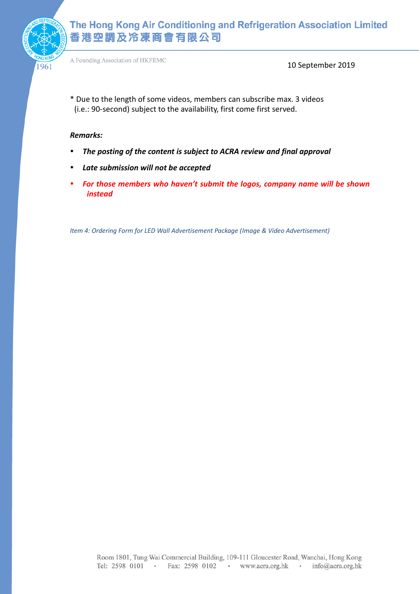

A Founding Association of HKFEMC

10 September 2019

\* Due to the length of some videos, members can subscribe max. 3 videos (i.e.: 90-second) subject to the availability, first come first served.

#### *Remarks:*

- *The posting of the content is subject to ACRA review and final approval*
- *Late submission will not be accepted*
- *For those members who haven't submit the logos, company name will be shown instead*

*Item 4: Ordering Form for LED Wall Advertisement Package (Image & Video Advertisement)*